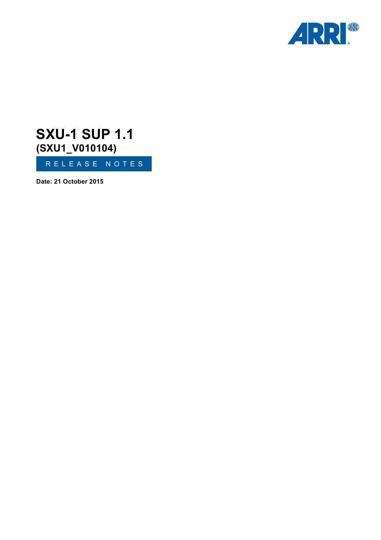

# RELEASE NOTES **SXU-1 SUP 1.1 (SXU1\_V010104)**

**Date: 21 October 2015**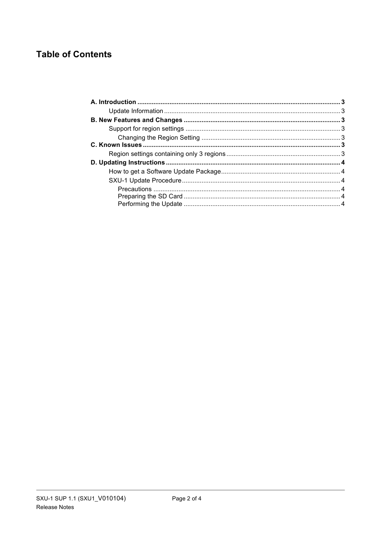# **Table of Contents**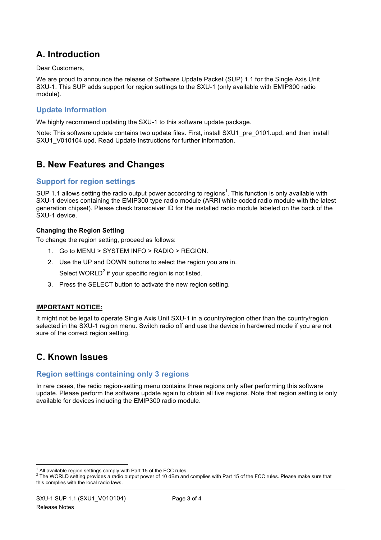# **A. Introduction**

Dear Customers,

We are proud to announce the release of Software Update Packet (SUP) 1.1 for the Single Axis Unit SXU-1. This SUP adds support for region settings to the SXU-1 (only available with EMIP300 radio module).

# **Update Information**

We highly recommend updating the SXU-1 to this software update package.

Note: This software update contains two update files. First, install SXU1 pre\_0101.upd, and then install SXU1\_V010104.upd. Read Update Instructions for further information.

# **B. New Features and Changes**

### **Support for region settings**

SUP 1.1 allows setting the radio output power according to regions<sup>1</sup>. This function is only available with SXU-1 devices containing the EMIP300 type radio module (ARRI white coded radio module with the latest generation chipset). Please check transceiver ID for the installed radio module labeled on the back of the SXU-1 device.

#### **Changing the Region Setting**

To change the region setting, proceed as follows:

- 1. Go to MENU > SYSTEM INFO > RADIO > REGION.
- 2. Use the UP and DOWN buttons to select the region you are in.

Select WORLD $^2$  if your specific region is not listed.

3. Press the SELECT button to activate the new region setting.

### **IMPORTANT NOTICE:**

It might not be legal to operate Single Axis Unit SXU-1 in a country/region other than the country/region selected in the SXU-1 region menu. Switch radio off and use the device in hardwired mode if you are not sure of the correct region setting.

# **C. Known Issues**

### **Region settings containing only 3 regions**

In rare cases, the radio region-setting menu contains three regions only after performing this software update. Please perform the software update again to obtain all five regions. Note that region setting is only available for devices including the EMIP300 radio module.

<sup>&</sup>lt;sup>1</sup> All available region settings comply with Part 15 of the FCC rules.<br><sup>2</sup> The WORLD setting provides a radio output power of 10 dBm and complies with Part 15 of the FCC rules. Please make sure that this complies with the local radio laws.